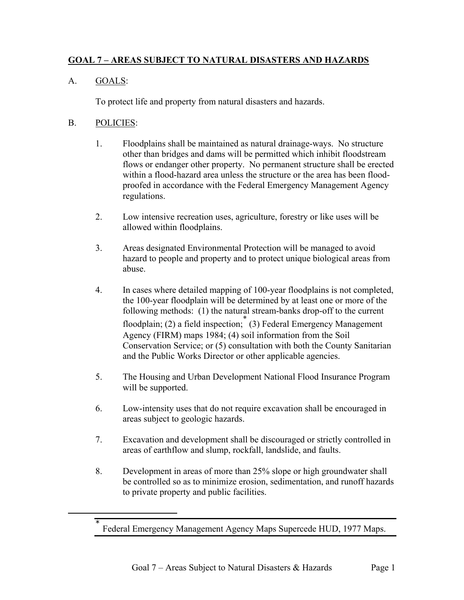# **GOAL 7 – AREAS SUBJECT TO NATURAL DISASTERS AND HAZARDS**

# A. GOALS:

To protect life and property from natural disasters and hazards.

### B. POLICIES:

 $\overline{a}$ 

- 1. Floodplains shall be maintained as natural drainage-ways. No structure other than bridges and dams will be permitted which inhibit floodstream flows or endanger other property. No permanent structure shall be erected within a flood-hazard area unless the structure or the area has been floodproofed in accordance with the Federal Emergency Management Agency regulations.
- 2. Low intensive recreation uses, agriculture, forestry or like uses will be allowed within floodplains.
- 3. Areas designated Environmental Protection will be managed to avoid hazard to people and property and to protect unique biological areas from abuse.
- 4. In cases where detailed mapping of 100-year floodplains is not completed, the 100-year floodplain will be determined by at least one or more of the following methods: (1) the natural stream-banks drop-off to the current floodplain; (2) a field inspection; (3) Federal Emergency Management Agency (FIRM) maps 1984; (4) soil information from the Soil Conservation Service; or (5) consultation with both the County Sanitarian and the Public Works Director or other applicable agencies.
- 5. The Housing and Urban Development National Flood Insurance Program will be supported.
- 6. Low-intensity uses that do not require excavation shall be encouraged in areas subject to geologic hazards.
- 7. Excavation and development shall be discouraged or strictly controlled in areas of earthflow and slump, rockfall, landslide, and faults.
- 8. Development in areas of more than 25% slope or high groundwater shall be controlled so as to minimize erosion, sedimentation, and runoff hazards to private property and public facilities.

<span id="page-0-0"></span><sup>\*</sup> Federal Emergency Management Agency Maps Supercede HUD, 1977 Maps.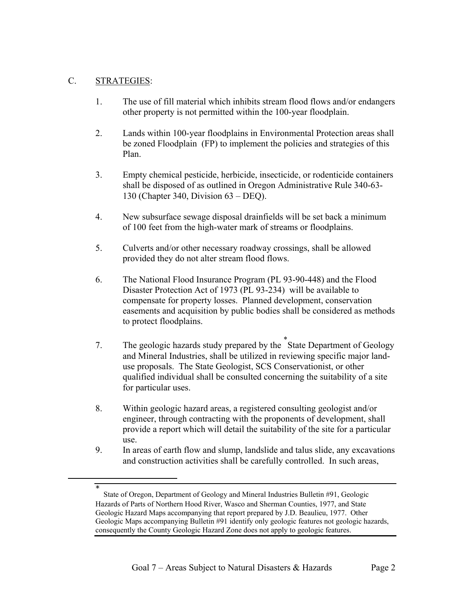#### C. STRATEGIES:

-

- 1. The use of fill material which inhibits stream flood flows and/or endangers other property is not permitted within the 100-year floodplain.
- 2. Lands within 100-year floodplains in Environmental Protection areas shall be zoned Floodplain (FP) to implement the policies and strategies of this Plan.
- 3. Empty chemical pesticide, herbicide, insecticide, or rodenticide containers shall be disposed of as outlined in Oregon Administrative Rule 340-63- 130 (Chapter 340, Division 63 – DEQ).
- 4. New subsurface sewage disposal drainfields will be set back a minimum of 100 feet from the high-water mark of streams or floodplains.
- 5. Culverts and/or other necessary roadway crossings, shall be allowed provided they do not alter stream flood flows.
- 6. The National Flood Insurance Program (PL 93-90-448) and the Flood Disaster Protection Act of 1973 (PL 93-234) will be available to compensate for property losses. Planned development, conservation easements and acquisition by public bodies shall be considered as methods to protect floodplains.
- 7. The geologic hazards study prepared by the [\\*](#page-1-0) State Department of Geology and Mineral Industries, shall be utilized in reviewing specific major landuse proposals. The State Geologist, SCS Conservationist, or other qualified individual shall be consulted concerning the suitability of a site for particular uses.
- 8. Within geologic hazard areas, a registered consulting geologist and/or engineer, through contracting with the proponents of development, shall provide a report which will detail the suitability of the site for a particular use.
- 9. In areas of earth flow and slump, landslide and talus slide, any excavations and construction activities shall be carefully controlled. In such areas,

<span id="page-1-0"></span><sup>\*</sup> State of Oregon, Department of Geology and Mineral Industries Bulletin #91, Geologic Hazards of Parts of Northern Hood River, Wasco and Sherman Counties, 1977, and State Geologic Hazard Maps accompanying that report prepared by J.D. Beaulieu, 1977. Other Geologic Maps accompanying Bulletin #91 identify only geologic features not geologic hazards, consequently the County Geologic Hazard Zone does not apply to geologic features.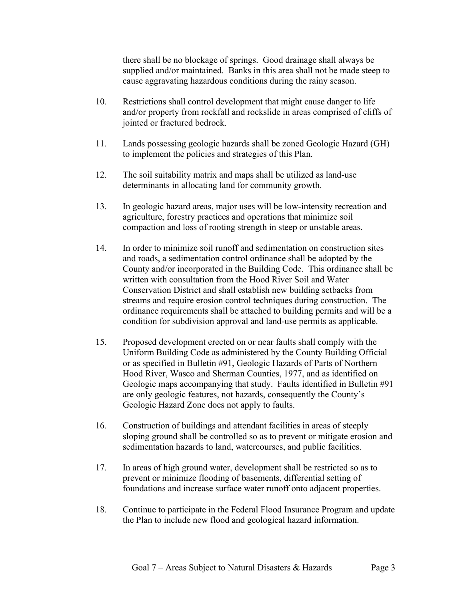there shall be no blockage of springs. Good drainage shall always be supplied and/or maintained. Banks in this area shall not be made steep to cause aggravating hazardous conditions during the rainy season.

- 10. Restrictions shall control development that might cause danger to life and/or property from rockfall and rockslide in areas comprised of cliffs of jointed or fractured bedrock.
- 11. Lands possessing geologic hazards shall be zoned Geologic Hazard (GH) to implement the policies and strategies of this Plan.
- 12. The soil suitability matrix and maps shall be utilized as land-use determinants in allocating land for community growth.
- 13. In geologic hazard areas, major uses will be low-intensity recreation and agriculture, forestry practices and operations that minimize soil compaction and loss of rooting strength in steep or unstable areas.
- 14. In order to minimize soil runoff and sedimentation on construction sites and roads, a sedimentation control ordinance shall be adopted by the County and/or incorporated in the Building Code. This ordinance shall be written with consultation from the Hood River Soil and Water Conservation District and shall establish new building setbacks from streams and require erosion control techniques during construction. The ordinance requirements shall be attached to building permits and will be a condition for subdivision approval and land-use permits as applicable.
- 15. Proposed development erected on or near faults shall comply with the Uniform Building Code as administered by the County Building Official or as specified in Bulletin #91, Geologic Hazards of Parts of Northern Hood River, Wasco and Sherman Counties, 1977, and as identified on Geologic maps accompanying that study. Faults identified in Bulletin #91 are only geologic features, not hazards, consequently the County's Geologic Hazard Zone does not apply to faults.
- 16. Construction of buildings and attendant facilities in areas of steeply sloping ground shall be controlled so as to prevent or mitigate erosion and sedimentation hazards to land, watercourses, and public facilities.
- 17. In areas of high ground water, development shall be restricted so as to prevent or minimize flooding of basements, differential setting of foundations and increase surface water runoff onto adjacent properties.
- 18. Continue to participate in the Federal Flood Insurance Program and update the Plan to include new flood and geological hazard information.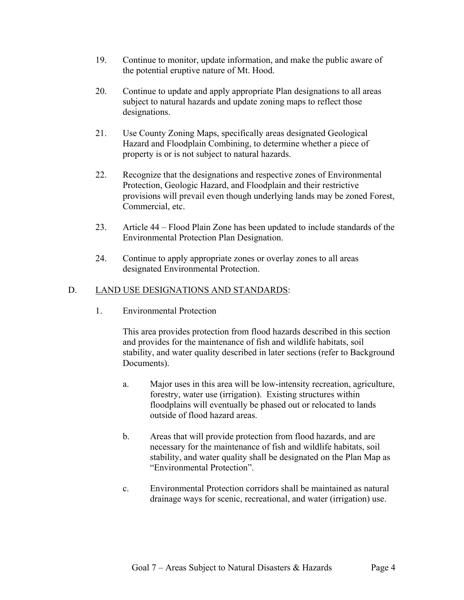- 19. Continue to monitor, update information, and make the public aware of the potential eruptive nature of Mt. Hood.
- 20. Continue to update and apply appropriate Plan designations to all areas subject to natural hazards and update zoning maps to reflect those designations.
- 21. Use County Zoning Maps, specifically areas designated Geological Hazard and Floodplain Combining, to determine whether a piece of property is or is not subject to natural hazards.
- 22. Recognize that the designations and respective zones of Environmental Protection, Geologic Hazard, and Floodplain and their restrictive provisions will prevail even though underlying lands may be zoned Forest, Commercial, etc.
- 23. Article 44 Flood Plain Zone has been updated to include standards of the Environmental Protection Plan Designation.
- 24. Continue to apply appropriate zones or overlay zones to all areas designated Environmental Protection.

# D. LAND USE DESIGNATIONS AND STANDARDS:

1. Environmental Protection

This area provides protection from flood hazards described in this section and provides for the maintenance of fish and wildlife habitats, soil stability, and water quality described in later sections (refer to Background Documents).

- a. Major uses in this area will be low-intensity recreation, agriculture, forestry, water use (irrigation). Existing structures within floodplains will eventually be phased out or relocated to lands outside of flood hazard areas.
- b. Areas that will provide protection from flood hazards, and are necessary for the maintenance of fish and wildlife habitats, soil stability, and water quality shall be designated on the Plan Map as "Environmental Protection".
- c. Environmental Protection corridors shall be maintained as natural drainage ways for scenic, recreational, and water (irrigation) use.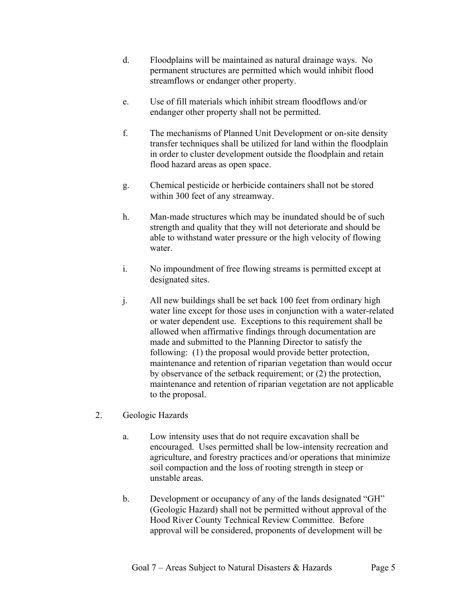- d. Floodplains will be maintained as natural drainage ways. No permanent structures are permitted which would inhibit flood streamflows or endanger other property.
- e. Use of fill materials which inhibit stream floodflows and/or endanger other property shall not be permitted.
- f. The mechanisms of Planned Unit Development or on-site density transfer techniques shall be utilized for land within the floodplain in order to cluster development outside the floodplain and retain flood hazard areas as open space.
- g. Chemical pesticide or herbicide containers shall not be stored within 300 feet of any streamway.
- h. Man-made structures which may be inundated should be of such strength and quality that they will not deteriorate and should be able to withstand water pressure or the high velocity of flowing water
- i. No impoundment of free flowing streams is permitted except at designated sites.
- j. All new buildings shall be set back 100 feet from ordinary high water line except for those uses in conjunction with a water-related or water dependent use. Exceptions to this requirement shall be allowed when affirmative findings through documentation are made and submitted to the Planning Director to satisfy the following: (1) the proposal would provide better protection, maintenance and retention of riparian vegetation than would occur by observance of the setback requirement; or (2) the protection, maintenance and retention of riparian vegetation are not applicable to the proposal.
- 2. Geologic Hazards
	- a. Low intensity uses that do not require excavation shall be encouraged. Uses permitted shall be low-intensity recreation and agriculture, and forestry practices and/or operations that minimize soil compaction and the loss of rooting strength in steep or unstable areas.
	- b. Development or occupancy of any of the lands designated "GH" (Geologic Hazard) shall not be permitted without approval of the Hood River County Technical Review Committee. Before approval will be considered, proponents of development will be